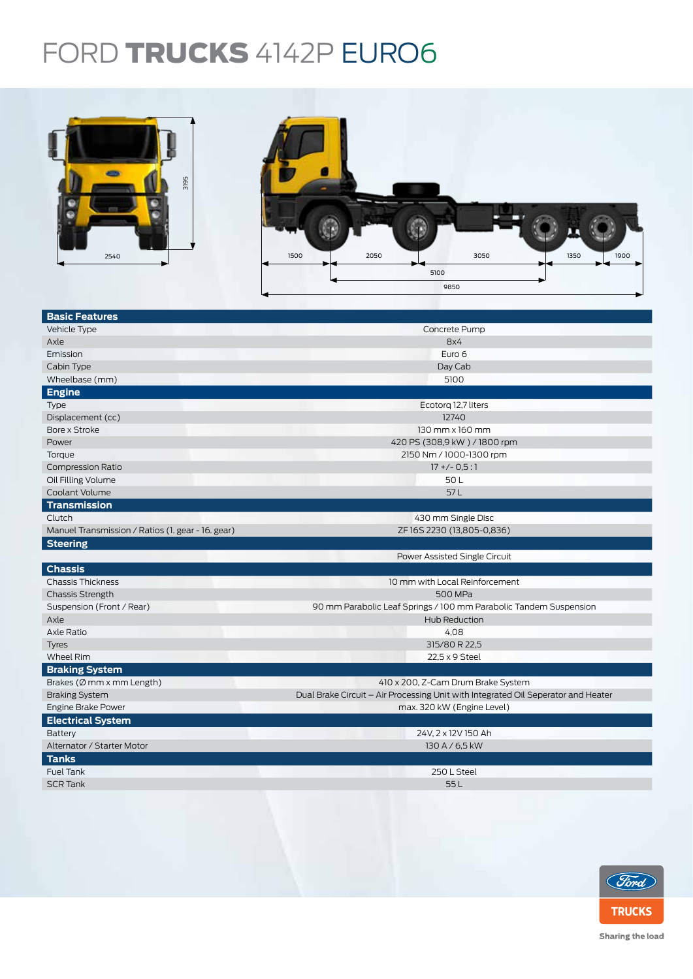## FORD TRUCKS 4142P EURO6



| 3195<br>2540                                      | 2050<br>3050<br>1500<br>1350<br>1900                                              |  |  |  |  |
|---------------------------------------------------|-----------------------------------------------------------------------------------|--|--|--|--|
|                                                   | 5100                                                                              |  |  |  |  |
|                                                   | 9850                                                                              |  |  |  |  |
|                                                   |                                                                                   |  |  |  |  |
| <b>Basic Features</b>                             |                                                                                   |  |  |  |  |
| Vehicle Type                                      | Concrete Pump                                                                     |  |  |  |  |
| Axle                                              | 8x4                                                                               |  |  |  |  |
| Emission                                          | Euro 6                                                                            |  |  |  |  |
| Cabin Type                                        | Day Cab                                                                           |  |  |  |  |
| Wheelbase (mm)                                    | 5100                                                                              |  |  |  |  |
| <b>Engine</b>                                     |                                                                                   |  |  |  |  |
| Type                                              | Ecotorg 12,7 liters                                                               |  |  |  |  |
| Displacement (cc)                                 | 12740                                                                             |  |  |  |  |
| Bore x Stroke                                     | 130 mm x 160 mm                                                                   |  |  |  |  |
| Power                                             | 420 PS (308,9 kW) / 1800 rpm                                                      |  |  |  |  |
| Torque                                            | 2150 Nm / 1000-1300 rpm                                                           |  |  |  |  |
| <b>Compression Ratio</b>                          | $17 + (-0.5:1)$                                                                   |  |  |  |  |
| Oil Filling Volume                                | 50L                                                                               |  |  |  |  |
| Coolant Volume                                    | 57L                                                                               |  |  |  |  |
| <b>Transmission</b>                               |                                                                                   |  |  |  |  |
| Clutch                                            | 430 mm Single Disc                                                                |  |  |  |  |
| Manuel Transmission / Ratios (1. gear - 16. gear) | ZF16S2230 (13,805-0,836)                                                          |  |  |  |  |
| <b>Steering</b>                                   |                                                                                   |  |  |  |  |
|                                                   | Power Assisted Single Circuit                                                     |  |  |  |  |
| <b>Chassis</b>                                    |                                                                                   |  |  |  |  |
| <b>Chassis Thickness</b>                          | 10 mm with Local Reinforcement                                                    |  |  |  |  |
| <b>Chassis Strength</b>                           | 500 MPa                                                                           |  |  |  |  |
| Suspension (Front / Rear)                         | 90 mm Parabolic Leaf Springs / 100 mm Parabolic Tandem Suspension                 |  |  |  |  |
| Axle                                              | Hub Reduction                                                                     |  |  |  |  |
| Axle Ratio                                        | 4,08                                                                              |  |  |  |  |
| <b>Tyres</b>                                      | 315/80 R 22,5                                                                     |  |  |  |  |
| Wheel Rim                                         | 22,5 x 9 Steel                                                                    |  |  |  |  |
| <b>Braking System</b>                             |                                                                                   |  |  |  |  |
| Brakes (Ø mm x mm Length)                         | 410 x 200, Z-Cam Drum Brake System                                                |  |  |  |  |
| <b>Braking System</b>                             | Dual Brake Circuit - Air Processing Unit with Integrated Oil Seperator and Heater |  |  |  |  |
| Engine Brake Power                                | max. 320 kW (Engine Level)                                                        |  |  |  |  |
| <b>Electrical System</b>                          |                                                                                   |  |  |  |  |
| Battery                                           | 24V, 2 x 12V 150 Ah                                                               |  |  |  |  |
| Alternator / Starter Motor                        | 130 A / 6,5 kW                                                                    |  |  |  |  |
| <b>Tanks</b>                                      |                                                                                   |  |  |  |  |
| Fuel Tank                                         | 250 L Steel                                                                       |  |  |  |  |
| <b>SCR Tank</b>                                   | 55L                                                                               |  |  |  |  |
|                                                   |                                                                                   |  |  |  |  |



Sharing the load